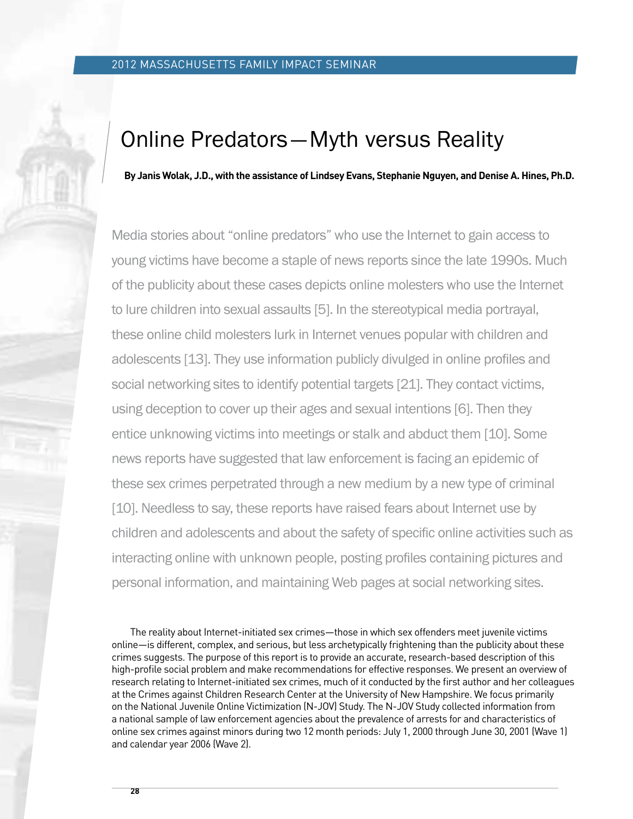# Online Predators—Myth versus Reality

 **By Janis Wolak, J.D., with the assistance of Lindsey Evans, Stephanie Nguyen, and Denise A. Hines, Ph.D.**

Media stories about "online predators" who use the Internet to gain access to young victims have become a staple of news reports since the late 1990s. Much of the publicity about these cases depicts online molesters who use the Internet to lure children into sexual assaults [5]. In the stereotypical media portrayal, these online child molesters lurk in Internet venues popular with children and adolescents [13]. They use information publicly divulged in online profiles and social networking sites to identify potential targets [21]. They contact victims, using deception to cover up their ages and sexual intentions [6]. Then they entice unknowing victims into meetings or stalk and abduct them [10]. Some news reports have suggested that law enforcement is facing an epidemic of these sex crimes perpetrated through a new medium by a new type of criminal [10]. Needless to say, these reports have raised fears about Internet use by children and adolescents and about the safety of specific online activities such as interacting online with unknown people, posting profiles containing pictures and personal information, and maintaining Web pages at social networking sites.

 The reality about Internet-initiated sex crimes—those in which sex offenders meet juvenile victims online—is different, complex, and serious, but less archetypically frightening than the publicity about these crimes suggests. The purpose of this report is to provide an accurate, research-based description of this high-profile social problem and make recommendations for effective responses. We present an overview of research relating to Internet-initiated sex crimes, much of it conducted by the first author and her colleagues at the Crimes against Children Research Center at the University of New Hampshire. We focus primarily on the National Juvenile Online Victimization (N-JOV) Study. The N-JOV Study collected information from a national sample of law enforcement agencies about the prevalence of arrests for and characteristics of online sex crimes against minors during two 12 month periods: July 1, 2000 through June 30, 2001 (Wave 1) and calendar year 2006 (Wave 2).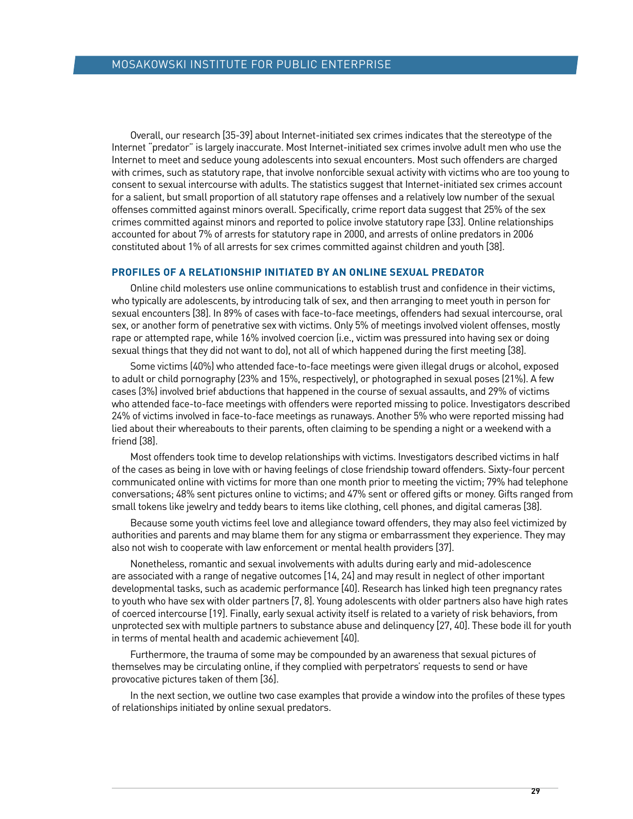Overall, our research [35-39] about Internet-initiated sex crimes indicates that the stereotype of the Internet "predator" is largely inaccurate. Most Internet-initiated sex crimes involve adult men who use the Internet to meet and seduce young adolescents into sexual encounters. Most such offenders are charged with crimes, such as statutory rape, that involve nonforcible sexual activity with victims who are too young to consent to sexual intercourse with adults. The statistics suggest that Internet-initiated sex crimes account for a salient, but small proportion of all statutory rape offenses and a relatively low number of the sexual offenses committed against minors overall. Specifically, crime report data suggest that 25% of the sex crimes committed against minors and reported to police involve statutory rape [33]. Online relationships accounted for about 7% of arrests for statutory rape in 2000, and arrests of online predators in 2006 constituted about 1% of all arrests for sex crimes committed against children and youth [38].

## **Profiles of a Relationship Initiated by an Online Sexual Predator**

 Online child molesters use online communications to establish trust and confidence in their victims, who typically are adolescents, by introducing talk of sex, and then arranging to meet youth in person for sexual encounters [38]. In 89% of cases with face-to-face meetings, offenders had sexual intercourse, oral sex, or another form of penetrative sex with victims. Only 5% of meetings involved violent offenses, mostly rape or attempted rape, while 16% involved coercion (i.e., victim was pressured into having sex or doing sexual things that they did not want to do), not all of which happened during the first meeting [38].

 Some victims (40%) who attended face-to-face meetings were given illegal drugs or alcohol, exposed to adult or child pornography (23% and 15%, respectively), or photographed in sexual poses (21%). A few cases (3%) involved brief abductions that happened in the course of sexual assaults, and 29% of victims who attended face-to-face meetings with offenders were reported missing to police. Investigators described 24% of victims involved in face-to-face meetings as runaways. Another 5% who were reported missing had lied about their whereabouts to their parents, often claiming to be spending a night or a weekend with a friend [38].

 Most offenders took time to develop relationships with victims. Investigators described victims in half of the cases as being in love with or having feelings of close friendship toward offenders. Sixty-four percent communicated online with victims for more than one month prior to meeting the victim; 79% had telephone conversations; 48% sent pictures online to victims; and 47% sent or offered gifts or money. Gifts ranged from small tokens like jewelry and teddy bears to items like clothing, cell phones, and digital cameras [38].

 Because some youth victims feel love and allegiance toward offenders, they may also feel victimized by authorities and parents and may blame them for any stigma or embarrassment they experience. They may also not wish to cooperate with law enforcement or mental health providers [37].

 Nonetheless, romantic and sexual involvements with adults during early and mid-adolescence are associated with a range of negative outcomes [14, 24] and may result in neglect of other important developmental tasks, such as academic performance [40]. Research has linked high teen pregnancy rates to youth who have sex with older partners [7, 8]. Young adolescents with older partners also have high rates of coerced intercourse [19]. Finally, early sexual activity itself is related to a variety of risk behaviors, from unprotected sex with multiple partners to substance abuse and delinquency [27, 40]. These bode ill for youth in terms of mental health and academic achievement [40].

 Furthermore, the trauma of some may be compounded by an awareness that sexual pictures of themselves may be circulating online, if they complied with perpetrators' requests to send or have provocative pictures taken of them [36].

 In the next section, we outline two case examples that provide a window into the profiles of these types of relationships initiated by online sexual predators.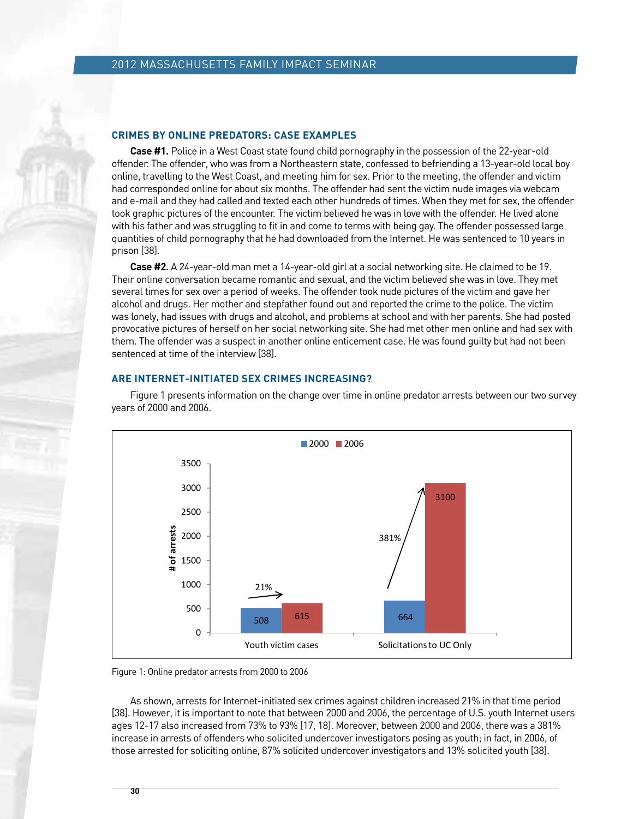#### **Crimes by Online Predators: Case Examples**

**Case #1.** Police in a West Coast state found child pornography in the possession of the 22-year-old offender. The offender, who was from a Northeastern state, confessed to befriending a 13-year-old local boy online, travelling to the West Coast, and meeting him for sex. Prior to the meeting, the offender and victim had corresponded online for about six months. The offender had sent the victim nude images via webcam and e-mail and they had called and texted each other hundreds of times. When they met for sex, the offender took graphic pictures of the encounter. The victim believed he was in love with the offender. He lived alone with his father and was struggling to fit in and come to terms with being gay. The offender possessed large quantities of child pornography that he had downloaded from the Internet. He was sentenced to 10 years in prison [38].

**Case #2.** A 24-year-old man met a 14-year-old girl at a social networking site. He claimed to be 19. Their online conversation became romantic and sexual, and the victim believed she was in love. They met several times for sex over a period of weeks. The offender took nude pictures of the victim and gave her alcohol and drugs. Her mother and stepfather found out and reported the crime to the police. The victim was lonely, had issues with drugs and alcohol, and problems at school and with her parents. She had posted provocative pictures of herself on her social networking site. She had met other men online and had sex with them. The offender was a suspect in another online enticement case. He was found guilty but had not been sentenced at time of the interview [38].

### **Are Internet-Initiated Sex Crimes Increasing?**



 Figure 1 presents information on the change over time in online predator arrests between our two survey years of 2000 **Figure 1. Online predator arrests from 2000 to 2006** and 2006.



 As shown, arrests for Internet-initiated sex crimes against children increased 21% in that time period [38]. However, it is important to note that between 2000 and 2006, the percentage of U.S. youth Internet users ages 12-17 also increased from 73% to 93% [17, 18]. Moreover, between 2000 and 2006, there was a 381% increase in arrests of offenders who solicited undercover investigators posing as youth; in fact, in 2006, of those arrested for soliciting online, 87% solicited undercover investigators and 13% solicited youth [38].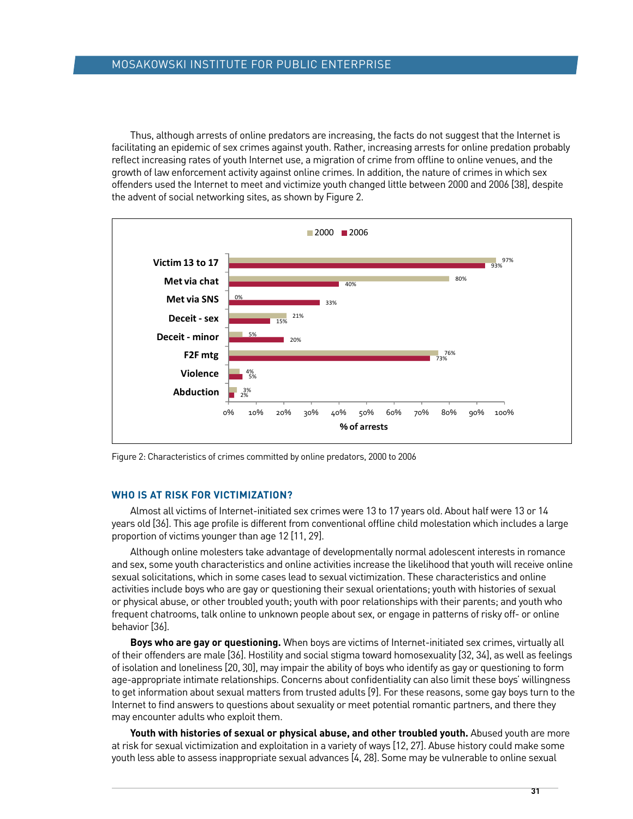Thus, although arrests of online predators are increasing, the facts do not suggest that the Internet is facilitating an epidemic of sex crimes against youth. Rather, increasing arrests for online predation probably reflect increasing rates of youth Internet use, a migration of crime from offline to online venues, and the growth of law enforcement activity against online crimes. In addition, the nature of crimes in which sex offenders used the Internet to meet and victimize youth changed little between 2000 and 2006 [38], despite the advent of social networking sites, as shown by Figure 2.



Figure 2: Characteristics of crimes committed by online predators, 2000 to 2006

## **Who is At Risk for Victimization?**

 Almost all victims of Internet-initiated sex crimes were 13 to 17 years old. About half were 13 or 14 years old [36]. This age profile is different from conventional offline child molestation which includes a large proportion of victims younger than age 12 [11, 29].

 Although online molesters take advantage of developmentally normal adolescent interests in romance and sex, some youth characteristics and online activities increase the likelihood that youth will receive online sexual solicitations, which in some cases lead to sexual victimization. These characteristics and online activities include boys who are gay or questioning their sexual orientations; youth with histories of sexual or physical abuse, or other troubled youth; youth with poor relationships with their parents; and youth who frequent chatrooms, talk online to unknown people about sex, or engage in patterns of risky off- or online behavior [36].

**Boys who are gay or questioning.** When boys are victims of Internet-initiated sex crimes, virtually all of their offenders are male [36]. Hostility and social stigma toward homosexuality [32, 34], as well as feelings of isolation and loneliness [20, 30], may impair the ability of boys who identify as gay or questioning to form age-appropriate intimate relationships. Concerns about confidentiality can also limit these boys' willingness to get information about sexual matters from trusted adults [9]. For these reasons, some gay boys turn to the Internet to find answers to questions about sexuality or meet potential romantic partners, and there they may encounter adults who exploit them.

**Youth with histories of sexual or physical abuse, and other troubled youth.** Abused youth are more at risk for sexual victimization and exploitation in a variety of ways [12, 27]. Abuse history could make some youth less able to assess inappropriate sexual advances [4, 28]. Some may be vulnerable to online sexual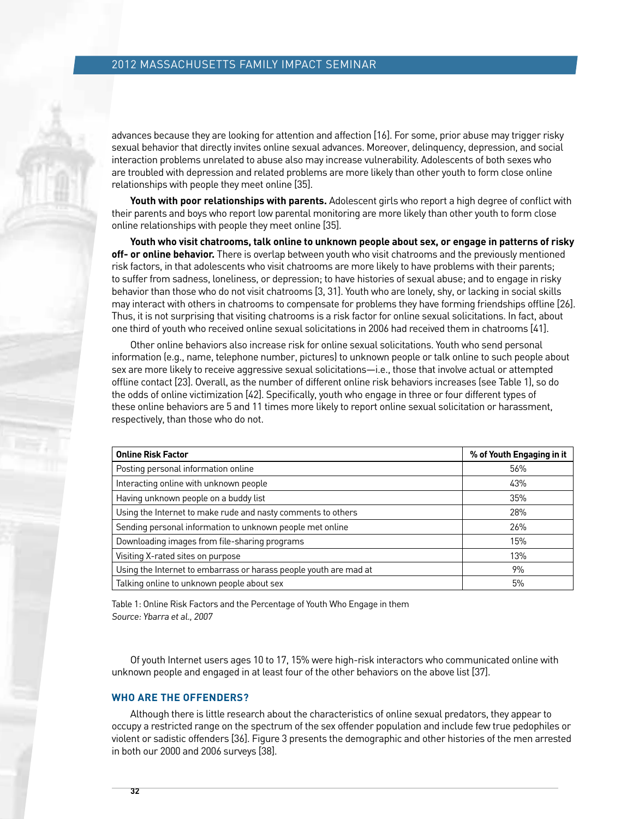advances because they are looking for attention and affection [16]. For some, prior abuse may trigger risky sexual behavior that directly invites online sexual advances. Moreover, delinquency, depression, and social interaction problems unrelated to abuse also may increase vulnerability. Adolescents of both sexes who are troubled with depression and related problems are more likely than other youth to form close online relationships with people they meet online [35].

**Youth with poor relationships with parents.** Adolescent girls who report a high degree of conflict with their parents and boys who report low parental monitoring are more likely than other youth to form close online relationships with people they meet online [35].

**Youth who visit chatrooms, talk online to unknown people about sex, or engage in patterns of risky off- or online behavior.** There is overlap between youth who visit chatrooms and the previously mentioned risk factors, in that adolescents who visit chatrooms are more likely to have problems with their parents; to suffer from sadness, loneliness, or depression; to have histories of sexual abuse; and to engage in risky behavior than those who do not visit chatrooms [3, 31]. Youth who are lonely, shy, or lacking in social skills may interact with others in chatrooms to compensate for problems they have forming friendships offline [26]. Thus, it is not surprising that visiting chatrooms is a risk factor for online sexual solicitations. In fact, about one third of youth who received online sexual solicitations in 2006 had received them in chatrooms [41].

 Other online behaviors also increase risk for online sexual solicitations. Youth who send personal information (e.g., name, telephone number, pictures) to unknown people or talk online to such people about sex are more likely to receive aggressive sexual solicitations—i.e., those that involve actual or attempted offline contact [23]. Overall, as the number of different online risk behaviors increases (see Table 1), so do the odds of online victimization [42]. Specifically, youth who engage in three or four different types of these online behaviors are 5 and 11 times more likely to report online sexual solicitation or harassment, respectively, than those who do not.

| <b>Online Risk Factor</b>                                         | % of Youth Engaging in it |
|-------------------------------------------------------------------|---------------------------|
| Posting personal information online                               | 56%                       |
| Interacting online with unknown people                            | 43%                       |
| Having unknown people on a buddy list                             | 35%                       |
| Using the Internet to make rude and nasty comments to others      | 28%                       |
| Sending personal information to unknown people met online         | 26%                       |
| Downloading images from file-sharing programs                     | 15%                       |
| Visiting X-rated sites on purpose                                 | 13%                       |
| Using the Internet to embarrass or harass people youth are mad at | 9%                        |
| Talking online to unknown people about sex                        | 5%                        |

Table 1: Online Risk Factors and the Percentage of Youth Who Engage in them Source: Ybarra et al., 2007

 Of youth Internet users ages 10 to 17, 15% were high-risk interactors who communicated online with unknown people and engaged in at least four of the other behaviors on the above list [37].

### **Who are the Offenders?**

 Although there is little research about the characteristics of online sexual predators, they appear to occupy a restricted range on the spectrum of the sex offender population and include few true pedophiles or violent or sadistic offenders [36]. Figure 3 presents the demographic and other histories of the men arrested in both our 2000 and 2006 surveys [38].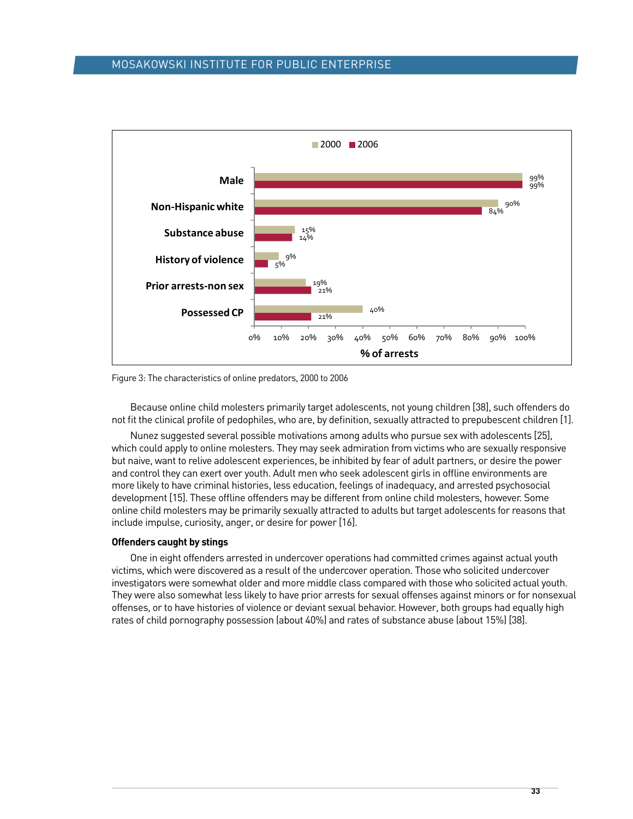## mosakowski institute for public enterprise



Figure 3: The characteristics of online predators, 2000 to 2006

 Because online child molesters primarily target adolescents, not young children [38], such offenders do not fit the clinical profile of pedophiles, who are, by definition, sexually attracted to prepubescent children [1].

 Nunez suggested several possible motivations among adults who pursue sex with adolescents [25], which could apply to online molesters. They may seek admiration from victims who are sexually responsive but naive, want to relive adolescent experiences, be inhibited by fear of adult partners, or desire the power and control they can exert over youth. Adult men who seek adolescent girls in offline environments are more likely to have criminal histories, less education, feelings of inadequacy, and arrested psychosocial development [15]. These offline offenders may be different from online child molesters, however. Some online child molesters may be primarily sexually attracted to adults but target adolescents for reasons that include impulse, curiosity, anger, or desire for power [16].

#### **Offenders caught by stings**

 One in eight offenders arrested in undercover operations had committed crimes against actual youth victims, which were discovered as a result of the undercover operation. Those who solicited undercover investigators were somewhat older and more middle class compared with those who solicited actual youth. They were also somewhat less likely to have prior arrests for sexual offenses against minors or for nonsexual offenses, or to have histories of violence or deviant sexual behavior. However, both groups had equally high rates of child pornography possession (about 40%) and rates of substance abuse (about 15%) [38].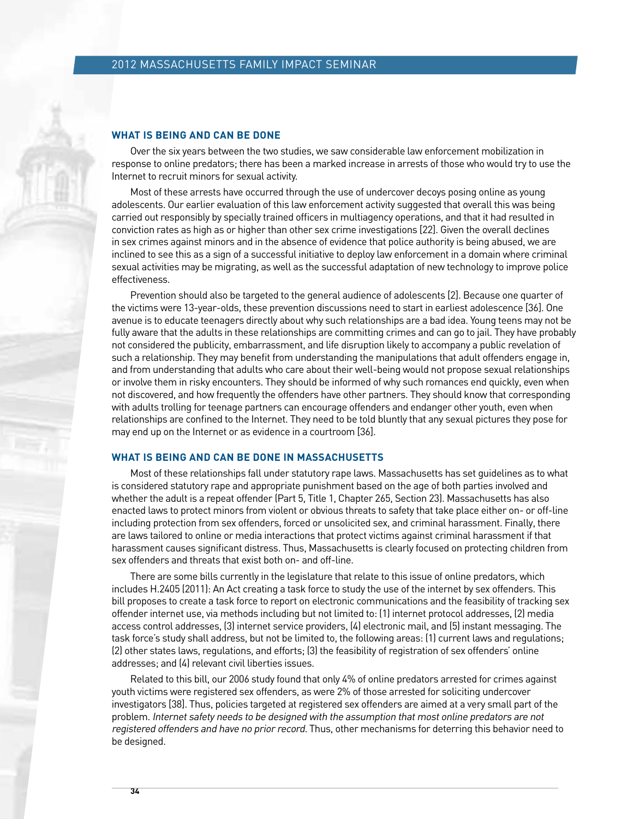#### **What Is Being and Can be Done**

 Over the six years between the two studies, we saw considerable law enforcement mobilization in response to online predators; there has been a marked increase in arrests of those who would try to use the Internet to recruit minors for sexual activity.

 Most of these arrests have occurred through the use of undercover decoys posing online as young adolescents. Our earlier evaluation of this law enforcement activity suggested that overall this was being carried out responsibly by specially trained officers in multiagency operations, and that it had resulted in conviction rates as high as or higher than other sex crime investigations [22]. Given the overall declines in sex crimes against minors and in the absence of evidence that police authority is being abused, we are inclined to see this as a sign of a successful initiative to deploy law enforcement in a domain where criminal sexual activities may be migrating, as well as the successful adaptation of new technology to improve police effectiveness.

 Prevention should also be targeted to the general audience of adolescents [2]. Because one quarter of the victims were 13-year-olds, these prevention discussions need to start in earliest adolescence [36]. One avenue is to educate teenagers directly about why such relationships are a bad idea. Young teens may not be fully aware that the adults in these relationships are committing crimes and can go to jail. They have probably not considered the publicity, embarrassment, and life disruption likely to accompany a public revelation of such a relationship. They may benefit from understanding the manipulations that adult offenders engage in, and from understanding that adults who care about their well-being would not propose sexual relationships or involve them in risky encounters. They should be informed of why such romances end quickly, even when not discovered, and how frequently the offenders have other partners. They should know that corresponding with adults trolling for teenage partners can encourage offenders and endanger other youth, even when relationships are confined to the Internet. They need to be told bluntly that any sexual pictures they pose for may end up on the Internet or as evidence in a courtroom [36].

## **What Is BEING and Can be Done in Massachusetts**

 Most of these relationships fall under statutory rape laws. Massachusetts has set guidelines as to what is considered statutory rape and appropriate punishment based on the age of both parties involved and whether the adult is a repeat offender (Part 5, Title 1, Chapter 265, Section 23). Massachusetts has also enacted laws to protect minors from violent or obvious threats to safety that take place either on- or off-line including protection from sex offenders, forced or unsolicited sex, and criminal harassment. Finally, there are laws tailored to online or media interactions that protect victims against criminal harassment if that harassment causes significant distress. Thus, Massachusetts is clearly focused on protecting children from sex offenders and threats that exist both on- and off-line.

 There are some bills currently in the legislature that relate to this issue of online predators, which includes H.2405 (2011): An Act creating a task force to study the use of the internet by sex offenders. This bill proposes to create a task force to report on electronic communications and the feasibility of tracking sex offender internet use, via methods including but not limited to: (1) internet protocol addresses, (2) media access control addresses, (3) internet service providers, (4) electronic mail, and (5) instant messaging. The task force's study shall address, but not be limited to, the following areas: (1) current laws and regulations; (2) other states laws, regulations, and efforts; (3) the feasibility of registration of sex offenders' online addresses; and (4) relevant civil liberties issues.

 Related to this bill, our 2006 study found that only 4% of online predators arrested for crimes against youth victims were registered sex offenders, as were 2% of those arrested for soliciting undercover investigators [38]. Thus, policies targeted at registered sex offenders are aimed at a very small part of the problem. Internet safety needs to be designed with the assumption that most online predators are not registered offenders and have no prior record. Thus, other mechanisms for deterring this behavior need to be designed.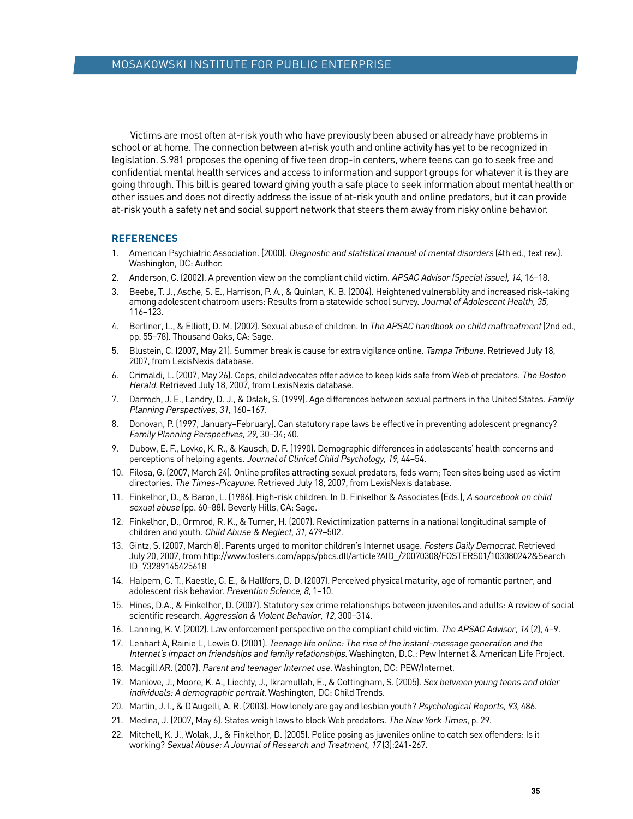Victims are most often at-risk youth who have previously been abused or already have problems in school or at home. The connection between at-risk youth and online activity has yet to be recognized in legislation. S.981 proposes the opening of five teen drop-in centers, where teens can go to seek free and confidential mental health services and access to information and support groups for whatever it is they are going through. This bill is geared toward giving youth a safe place to seek information about mental health or other issues and does not directly address the issue of at-risk youth and online predators, but it can provide at-risk youth a safety net and social support network that steers them away from risky online behavior.

### **References**

- 1. American Psychiatric Association. (2000). Diagnostic and statistical manual of mental disorders (4th ed., text rev.). Washington, DC: Author.
- 2. Anderson, C. (2002). A prevention view on the compliant child victim. APSAC Advisor (Special issue), 14, 16-18.
- 3. Beebe, T. J., Asche, S. E., Harrison, P. A., & Quinlan, K. B. (2004). Heightened vulnerability and increased risk-taking among adolescent chatroom users: Results from a statewide school survey. Journal of Adolescent Health, 35, 116–123.
- 4. Berliner, L., & Elliott, D. M. (2002). Sexual abuse of children. In The APSAC handbook on child maltreatment (2nd ed., pp. 55–78). Thousand Oaks, CA: Sage.
- 5. Blustein, C. (2007, May 21). Summer break is cause for extra vigilance online. Tampa Tribune. Retrieved July 18, 2007, from LexisNexis database.
- 6. Crimaldi, L. (2007, May 26). Cops, child advocates offer advice to keep kids safe from Web of predators. The Boston Herald. Retrieved July 18, 2007, from LexisNexis database.
- 7. Darroch, J. E., Landry, D. J., & Oslak, S. (1999). Age differences between sexual partners in the United States. Family Planning Perspectives, 31, 160–167.
- 8. Donovan, P. (1997, January–February). Can statutory rape laws be effective in preventing adolescent pregnancy? Family Planning Perspectives, 29, 30–34; 40.
- 9. Dubow, E. F., Lovko, K. R., & Kausch, D. F. (1990). Demographic differences in adolescents' health concerns and perceptions of helping agents. Journal of Clinical Child Psychology, 19, 44–54.
- 10. Filosa, G. (2007, March 24). Online profiles attracting sexual predators, feds warn; Teen sites being used as victim directories. The Times-Picayune. Retrieved July 18, 2007, from LexisNexis database.
- 11. Finkelhor, D., & Baron, L. (1986). High-risk children. In D. Finkelhor & Associates (Eds.), A sourcebook on child sexual abuse (pp. 60–88). Beverly Hills, CA: Sage.
- 12. Finkelhor, D., Ormrod, R. K., & Turner, H. (2007). Revictimization patterns in a national longitudinal sample of children and youth. Child Abuse & Neglect, 31, 479–502.
- 13. Gintz, S. (2007, March 8). Parents urged to monitor children's Internet usage. Fosters Daily Democrat. Retrieved July 20, 2007, from http://www.fosters.com/apps/pbcs.dll/article?AID\_/20070308/FOSTERS01/103080242&Search ID\_73289145425618
- 14. Halpern, C. T., Kaestle, C. E., & Hallfors, D. D. (2007). Perceived physical maturity, age of romantic partner, and adolescent risk behavior. Prevention Science, 8, 1–10.
- 15. Hines, D.A., & Finkelhor, D. (2007). Statutory sex crime relationships between juveniles and adults: A review of social scientific research. Aggression & Violent Behavior, 12, 300–314.
- 16. Lanning, K. V. (2002). Law enforcement perspective on the compliant child victim. The APSAC Advisor, 14 (2), 4-9.
- 17. Lenhart A, Rainie L, Lewis O. (2001). Teenage life online: The rise of the instant-message generation and the Internet's impact on friendships and family relationships. Washington, D.C.: Pew Internet & American Life Project.
- 18. Macgill AR. (2007). Parent and teenager Internet use. Washington, DC: PEW/Internet.
- 19. Manlove, J., Moore, K. A., Liechty, J., Ikramullah, E., & Cottingham, S. (2005). Sex between young teens and older individuals: <sup>A</sup> demographic portrait. Washington, DC: Child Trends.
- 20. Martin, J. I., & D'Augelli, A. R. (2003). How lonely are gay and lesbian youth? Psychological Reports, 93, 486.
- 21. Medina, J. (2007, May 6). States weigh laws to block Web predators. The New York Times, p. 29.
- 22. Mitchell, K. J., Wolak, J., & Finkelhor, D. (2005). Police posing as juveniles online to catch sex offenders: Is it working? Sexual Abuse: A Journal of Research and Treatment, 17 (3):241-267.